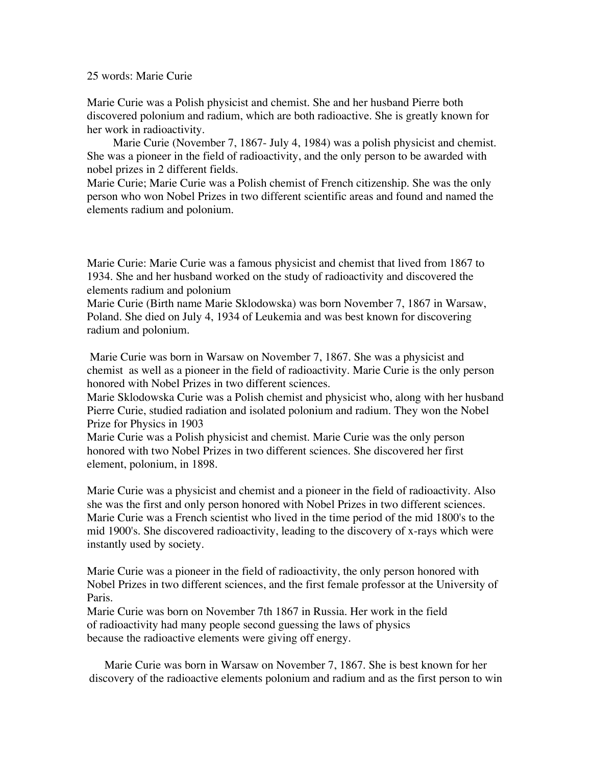## 25 words: Marie Curie

Marie Curie was a Polish physicist and chemist. She and her husband Pierre both discovered polonium and radium, which are both radioactive. She is greatly known for her work in radioactivity.

 Marie Curie (November 7, 1867- July 4, 1984) was a polish physicist and chemist. She was a pioneer in the field of radioactivity, and the only person to be awarded with nobel prizes in 2 different fields.

Marie Curie; Marie Curie was a Polish chemist of French citizenship. She was the only person who won Nobel Prizes in two different scientific areas and found and named the elements radium and polonium.

Marie Curie: Marie Curie was a famous physicist and chemist that lived from 1867 to 1934. She and her husband worked on the study of radioactivity and discovered the elements radium and polonium

Marie Curie (Birth name Marie Sklodowska) was born November 7, 1867 in Warsaw, Poland. She died on July 4, 1934 of Leukemia and was best known for discovering radium and polonium.

 Marie Curie was born in Warsaw on November 7, 1867. She was a physicist and chemist as well as a pioneer in the field of radioactivity. Marie Curie is the only person honored with Nobel Prizes in two different sciences.

Marie Sklodowska Curie was a Polish chemist and physicist who, along with her husband Pierre Curie, studied radiation and isolated polonium and radium. They won the Nobel Prize for Physics in 1903

Marie Curie was a Polish physicist and chemist. Marie Curie was the only person honored with two Nobel Prizes in two different sciences. She discovered her first element, polonium, in 1898.

Marie Curie was a physicist and chemist and a pioneer in the field of radioactivity. Also she was the first and only person honored with Nobel Prizes in two different sciences. Marie Curie was a French scientist who lived in the time period of the mid 1800's to the mid 1900's. She discovered radioactivity, leading to the discovery of x-rays which were instantly used by society.

Marie Curie was a pioneer in the field of radioactivity, the only person honored with Nobel Prizes in two different sciences, and the first female professor at the University of Paris.

Marie Curie was born on November 7th 1867 in Russia. Her work in the field of radioactivity had many people second guessing the laws of physics because the radioactive elements were giving off energy.

Marie Curie was born in Warsaw on November 7, 1867. She is best known for her discovery of the radioactive elements polonium and radium and as the first person to win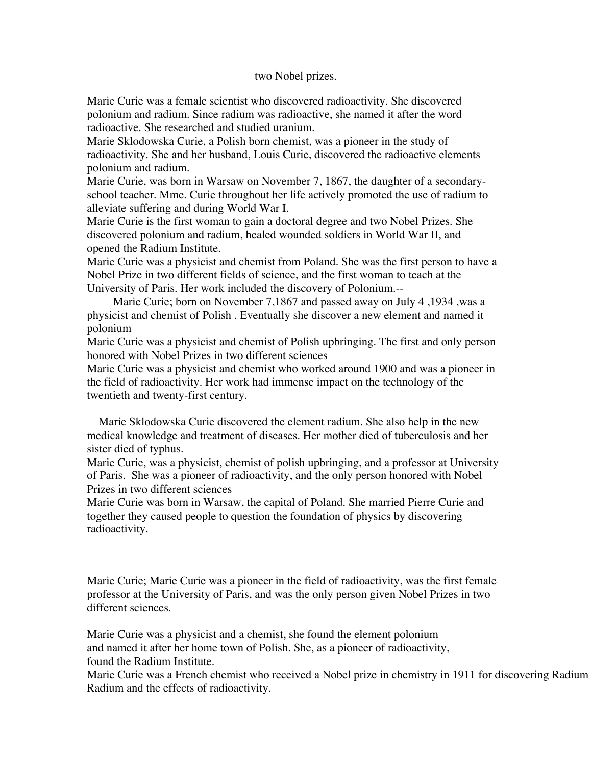## two Nobel prizes.

Marie Curie was a female scientist who discovered radioactivity. She discovered polonium and radium. Since radium was radioactive, she named it after the word radioactive. She researched and studied uranium.

Marie Sklodowska Curie, a Polish born chemist, was a pioneer in the study of radioactivity. She and her husband, Louis Curie, discovered the radioactive elements polonium and radium.

Marie Curie, was born in Warsaw on November 7, 1867, the daughter of a secondaryschool teacher. Mme. Curie throughout her life actively promoted the use of radium to alleviate suffering and during World War I.

Marie Curie is the first woman to gain a doctoral degree and two Nobel Prizes. She discovered polonium and radium, healed wounded soldiers in World War II, and opened the Radium Institute.

Marie Curie was a physicist and chemist from Poland. She was the first person to have a Nobel Prize in two different fields of science, and the first woman to teach at the University of Paris. Her work included the discovery of Polonium.--

 Marie Curie; born on November 7,1867 and passed away on July 4 ,1934 ,was a physicist and chemist of Polish . Eventually she discover a new element and named it polonium

Marie Curie was a physicist and chemist of Polish upbringing. The first and only person honored with Nobel Prizes in two different sciences

Marie Curie was a physicist and chemist who worked around 1900 and was a pioneer in the field of radioactivity. Her work had immense impact on the technology of the twentieth and twenty-first century.

 Marie Sklodowska Curie discovered the element radium. She also help in the new medical knowledge and treatment of diseases. Her mother died of tuberculosis and her sister died of typhus.

Marie Curie, was a physicist, chemist of polish upbringing, and a professor at University of Paris. She was a pioneer of radioactivity, and the only person honored with Nobel Prizes in two different sciences

Marie Curie was born in Warsaw, the capital of Poland. She married Pierre Curie and together they caused people to question the foundation of physics by discovering radioactivity.

Marie Curie; Marie Curie was a pioneer in the field of radioactivity, was the first female professor at the University of Paris, and was the only person given Nobel Prizes in two different sciences.

Marie Curie was a physicist and a chemist, she found the element polonium and named it after her home town of Polish. She, as a pioneer of radioactivity, found the Radium Institute.

Marie Curie was a French chemist who received a Nobel prize in chemistry in 1911 for discovering Radium Radium and the effects of radioactivity.